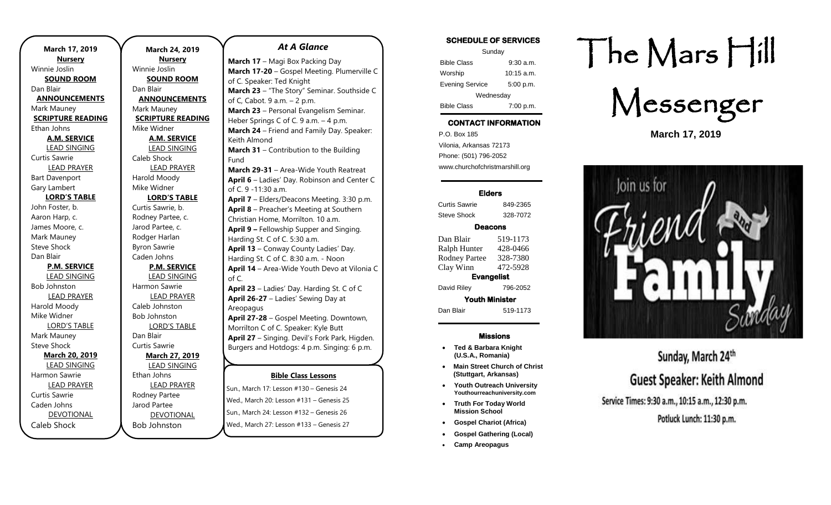| March 17, 2019           |  |
|--------------------------|--|
| <b>Nursery</b>           |  |
| Winnie Joslin            |  |
| <b>SOUND ROOM</b>        |  |
| Dan Blair                |  |
| <b>ANNOUNCEMENTS</b>     |  |
| Mark Mauney              |  |
| <b>SCRIPTURE READING</b> |  |
| Ethan Johns              |  |
| <b>A.M. SERVICE</b>      |  |
| <b>LEAD SINGING</b>      |  |
| Curtis Sawrie            |  |
| <b>LEAD PRAYER</b>       |  |
| <b>Bart Davenport</b>    |  |
| Gary Lambert             |  |
| <b>LORD'S TABLE</b>      |  |
| John Foster, b.          |  |
| Aaron Harp, c.           |  |
| James Moore, c.          |  |
| Mark Mauney              |  |
| <b>Steve Shock</b>       |  |
| Dan Blair                |  |
| <b>P.M. SERVICE</b>      |  |
| <b>LEAD SINGING</b>      |  |
| <b>Bob Johnston</b>      |  |
| <b>LEAD PRAYER</b>       |  |
| Harold Moody             |  |
| Mike Widner              |  |
| <b>LORD'S TABLE</b>      |  |
| Mark Mauney              |  |
| <b>Steve Shock</b>       |  |
| <b>March 20, 2019</b>    |  |
| <b>LEAD SINGING</b>      |  |
| Harmon Sawrie            |  |
| <b>LEAD PRAYER</b>       |  |
| Curtis Sawrie            |  |
| Caden Johns              |  |
| <b>DEVOTIONAL</b>        |  |
| Caleb Shock              |  |

**March 24, 2019 Nursery** Winnie Joslin **SOUND ROOM** Dan Blair **ANNOUNCEMENTS** Mark Mauney **SCRIPTURE READING** Mike Widner **A.M. SERVICE** LEAD SINGING Caleb Shock LEAD PRAYER Harold Moody Mike Widner **LORD'S TABLE** Curtis Sawrie, b. Rodney Partee, c. Jarod Partee, c. Rodger Harlan Byron Sawrie Caden Johns **P.M. SERVICE** LEAD SINGING Harmon Sawrie LEAD PRAYER Caleb Johnston Bob Johnston LORD'S TABLE Dan Blair Curtis Sawrie **March 27, 2019** LEAD SINGING Ethan Johns LEAD PRAYER Rodney Partee Jarod Partee DEVOTIONAL

Bob Johnston

### *At A Glance*

**Bible Class Lessons March 17** - Magi Box Packing Day **March 17-20** – Gospel Meeting. Plumerville C of C. Speaker: Ted Knight **March 23** – "The Story" Seminar. Southside C of C, Cabot. 9 a.m. – 2 p.m. **March 23** – Personal Evangelism Seminar. Heber Springs C of C. 9 a.m. - 4 p.m. **March 24** – Friend and Family Day. Speaker: Keith Almond **March 31** – Contribution to the Building Fund **March 29-31** – Area-Wide Youth Reatreat **April 6** – Ladies' Day. Robinson and Center C of C. 9 -11:30 a.m. **April 7** – Elders/Deacons Meeting. 3:30 p.m. **April 8** – Preacher's Meeting at Southern Christian Home, Morrilton. 10 a.m. **April 9 –** Fellowship Supper and Singing. Harding St. C of C. 5:30 a.m. **April 13** – Conway County Ladies' Day. Harding St. C of C. 8:30 a.m. - Noon **April 14** – Area-Wide Youth Devo at Vilonia C of C. **April 23** – Ladies' Day. Harding St. C of C **April 26-27** – Ladies' Sewing Day at Areopagus **April 27-28** – Gospel Meeting. Downtown, Morrilton C of C. Speaker: Kyle Butt **April 27** – Singing. Devil's Fork Park, Higden. Burgers and Hotdogs: 4 p.m. Singing: 6 p.m. **April 28** – Contribution to the Building Fund

Sun., March 17: Lesson #130 – Genesis 24 Wed., March 20: Lesson #131 – Genesis 25 Sun., March 24: Lesson #132 – Genesis 26 **September 29-October 2** – Harding Wed., March 27: Lesson #133 – Genesis 27 Juli, Martii 24. Lessofi  $\pi$  i J2 – Genesis 20

### **SCHEDULE OF SERVICES**

| Sunday                 |              |  |
|------------------------|--------------|--|
| <b>Bible Class</b>     | $9:30$ a.m.  |  |
| Worship                | $10:15$ a.m. |  |
| <b>Evening Service</b> | 5:00 p.m.    |  |
| Wednesday              |              |  |
| <b>Bible Class</b>     | 7:00 p.m.    |  |

## **CONTACT INFORMATION**

. .o. Box 166<br>Vilonia, Arkansas 72173 P.O. Box 185 Phone: (501) 796-2052 www.churchofchristmarshill.org

### **Elders**

Curtis Sawrie 849-2365 Steve Shock 328-7072

### **Deacons**

Dan Blair 519-1173 Ralph Hunter 428-0466 Rodney Partee 328-7380 Clay Winn 472-5928 **Evangelist**  David Riley 796-2052

**Youth Minister**  Dan Blair 519-1173

#### **Missions**

- **Ted & Barbara Knight (U.S.A., Romania)**
- **Main Street Church of Christ (Stuttgart, Arkansas)**
- **Youth Outreach University Youthourreachuniversity.com**
- **Truth For Today World Mission School**
- **Gospel Chariot (Africa)**
- **Gospel Gathering (Local)**
- **Camp Areopagus**

# The Mars Hill



**March 17, 2019**



# Sunday, March 24th **Guest Speaker: Keith Almond** Service Times: 9:30 a.m., 10:15 a.m., 12:30 p.m.

Potluck Lunch: 11:30 p.m.